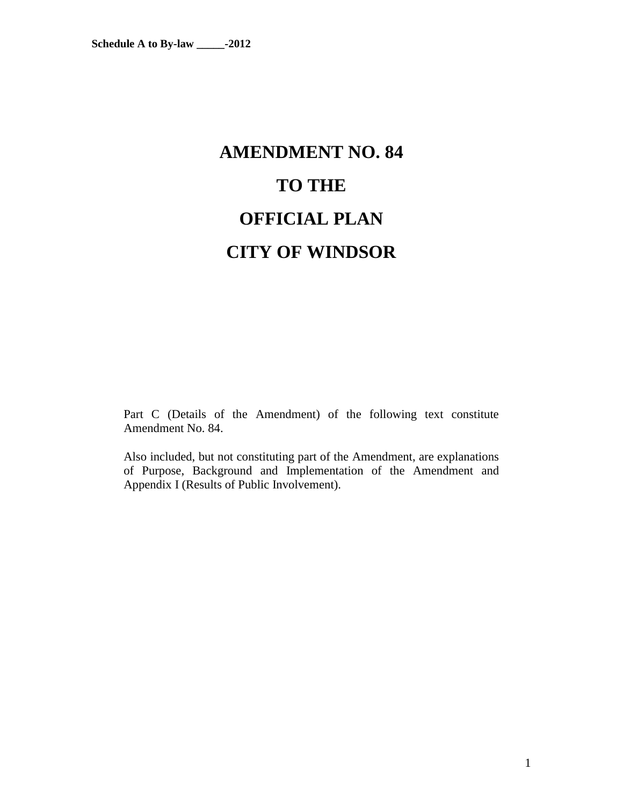# **AMENDMENT NO. 84 TO THE OFFICIAL PLAN CITY OF WINDSOR**

Part C (Details of the Amendment) of the following text constitute Amendment No. 84.

Also included, but not constituting part of the Amendment, are explanations of Purpose, Background and Implementation of the Amendment and Appendix I (Results of Public Involvement).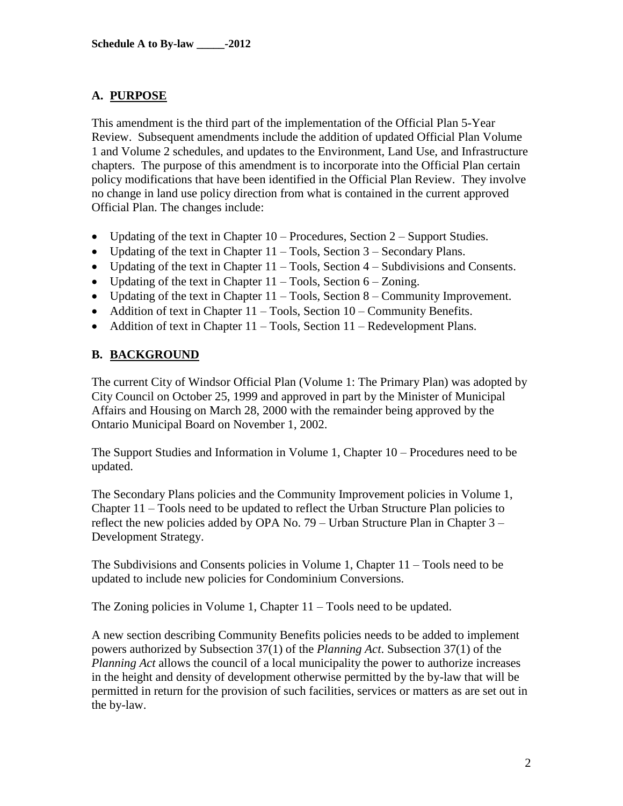# **A. PURPOSE**

This amendment is the third part of the implementation of the Official Plan 5-Year Review. Subsequent amendments include the addition of updated Official Plan Volume 1 and Volume 2 schedules, and updates to the Environment, Land Use, and Infrastructure chapters. The purpose of this amendment is to incorporate into the Official Plan certain policy modifications that have been identified in the Official Plan Review. They involve no change in land use policy direction from what is contained in the current approved Official Plan. The changes include:

- Updating of the text in Chapter  $10 -$  Procedures, Section  $2 -$  Support Studies.
- Updating of the text in Chapter  $11 \text{Tools}$ , Section  $3 \text{Secondary Plans}$ .
- Updating of the text in Chapter  $11$  Tools, Section  $4$  Subdivisions and Consents.
- Updating of the text in Chapter  $11 \text{Tools}$ , Section  $6 \text{Zoning}$ .
- Updating of the text in Chapter  $11 \text{Tools}$ , Section 8 Community Improvement.
- Addition of text in Chapter  $11 \text{Tools}$ , Section  $10 \text{Community}$  Benefits.
- Addition of text in Chapter  $11 \text{Tools}$ , Section  $11 \text{Rede}$ velopment Plans.

# **B. BACKGROUND**

The current City of Windsor Official Plan (Volume 1: The Primary Plan) was adopted by City Council on October 25, 1999 and approved in part by the Minister of Municipal Affairs and Housing on March 28, 2000 with the remainder being approved by the Ontario Municipal Board on November 1, 2002.

The Support Studies and Information in Volume 1, Chapter 10 – Procedures need to be updated.

The Secondary Plans policies and the Community Improvement policies in Volume 1, Chapter 11 – Tools need to be updated to reflect the Urban Structure Plan policies to reflect the new policies added by OPA No. 79 – Urban Structure Plan in Chapter 3 – Development Strategy.

The Subdivisions and Consents policies in Volume 1, Chapter 11 – Tools need to be updated to include new policies for Condominium Conversions.

The Zoning policies in Volume 1, Chapter 11 – Tools need to be updated.

A new section describing Community Benefits policies needs to be added to implement powers authorized by Subsection 37(1) of the *Planning Act*. Subsection 37(1) of the *Planning Act* allows the council of a local municipality the power to authorize increases in the height and density of development otherwise permitted by the by-law that will be permitted in return for the provision of such facilities, services or matters as are set out in the by-law.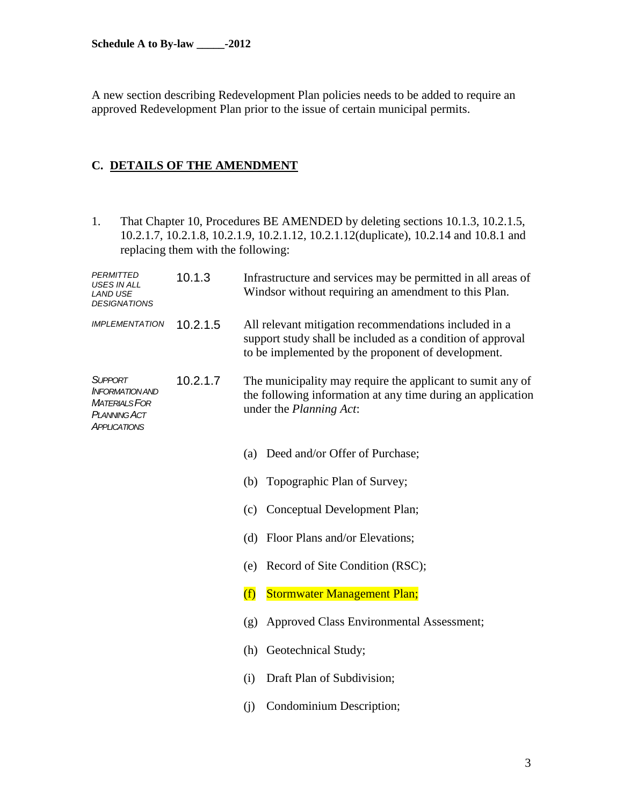A new section describing Redevelopment Plan policies needs to be added to require an approved Redevelopment Plan prior to the issue of certain municipal permits.

# **C. DETAILS OF THE AMENDMENT**

1. That Chapter 10, Procedures BE AMENDED by deleting sections 10.1.3, 10.2.1.5, 10.2.1.7, 10.2.1.8, 10.2.1.9, 10.2.1.12, 10.2.1.12(duplicate), 10.2.14 and 10.8.1 and replacing them with the following:

| <b>PERMITTED</b><br>USES IN ALL<br>LAND USE<br><b>DESIGNATIONS</b>                                                         | 10.1.3   | Infrastructure and services may be permitted in all areas of<br>Windsor without requiring an amendment to this Plan.                                                      |  |  |
|----------------------------------------------------------------------------------------------------------------------------|----------|---------------------------------------------------------------------------------------------------------------------------------------------------------------------------|--|--|
| <b>IMPLEMENTATION</b>                                                                                                      | 10.2.1.5 | All relevant mitigation recommendations included in a<br>support study shall be included as a condition of approval<br>to be implemented by the proponent of development. |  |  |
| 10.2.1.7<br><b>SUPPORT</b><br><b>INFORMATION AND</b><br><b>MATERIALS FOR</b><br><b>PLANNING ACT</b><br><b>APPLICATIONS</b> |          | The municipality may require the applicant to sumit any of<br>the following information at any time during an application<br>under the <i>Planning Act</i> :              |  |  |
|                                                                                                                            |          | Deed and/or Offer of Purchase;<br>(a)                                                                                                                                     |  |  |
|                                                                                                                            |          | Topographic Plan of Survey;<br>(b)                                                                                                                                        |  |  |
|                                                                                                                            |          | Conceptual Development Plan;<br>(c)                                                                                                                                       |  |  |
|                                                                                                                            |          | (d) Floor Plans and/or Elevations;                                                                                                                                        |  |  |
|                                                                                                                            |          | Record of Site Condition (RSC);<br>(e)                                                                                                                                    |  |  |
|                                                                                                                            |          | (f)<br><b>Stormwater Management Plan;</b>                                                                                                                                 |  |  |
|                                                                                                                            |          | Approved Class Environmental Assessment;<br>(g)                                                                                                                           |  |  |
|                                                                                                                            |          | Geotechnical Study;<br>(h)                                                                                                                                                |  |  |
|                                                                                                                            |          | Draft Plan of Subdivision;<br>(i)                                                                                                                                         |  |  |
|                                                                                                                            |          | Condominium Description;<br>(i)                                                                                                                                           |  |  |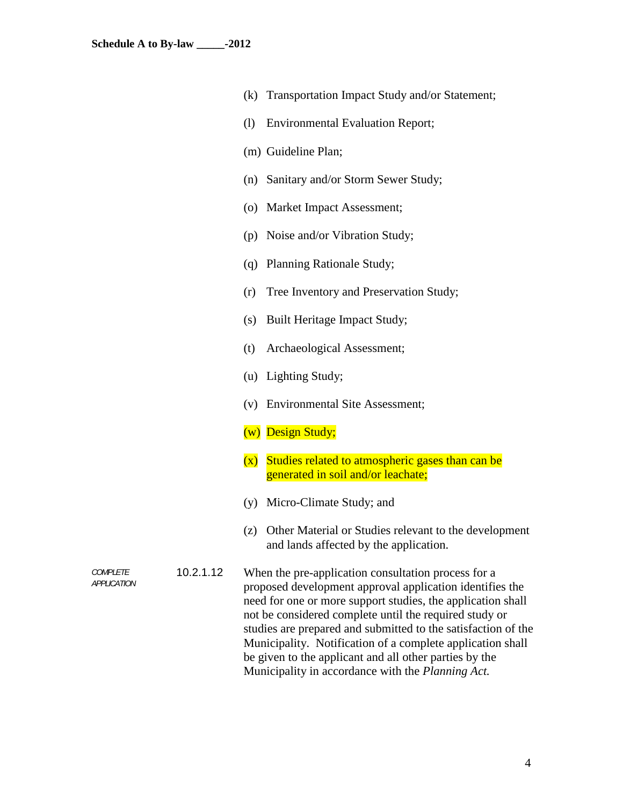- (k) Transportation Impact Study and/or Statement;
- (l) Environmental Evaluation Report;
- (m) Guideline Plan;
- (n) Sanitary and/or Storm Sewer Study;
- (o) Market Impact Assessment;
- (p) Noise and/or Vibration Study;
- (q) Planning Rationale Study;
- (r) Tree Inventory and Preservation Study;
- (s) Built Heritage Impact Study;
- (t) Archaeological Assessment;
- (u) Lighting Study;
- (v) Environmental Site Assessment;
- (w) Design Study;
- (x) Studies related to atmospheric gases than can be generated in soil and/or leachate;
- (y) Micro-Climate Study; and
- (z) Other Material or Studies relevant to the development and lands affected by the application.

*APPLICATION* 10.2.1.12 When the pre-application consultation process for a proposed development approval application identifies the need for one or more support studies, the application shall not be considered complete until the required study or studies are prepared and submitted to the satisfaction of the Municipality. Notification of a complete application shall be given to the applicant and all other parties by the Municipality in accordance with the *Planning Act.*

*COMPLETE*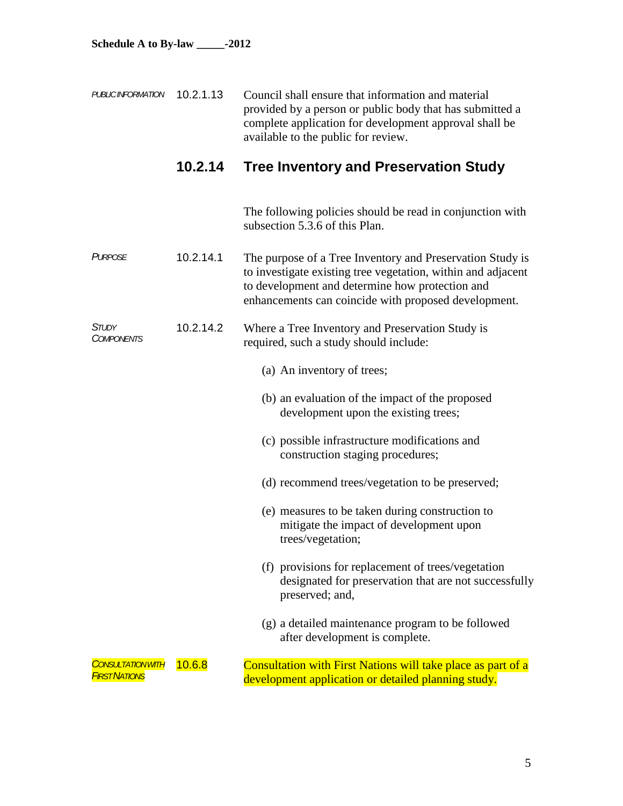| PUBLICINFORMATION 10.2.1.13 | Council shall ensure that information and material       |
|-----------------------------|----------------------------------------------------------|
|                             | provided by a person or public body that has submitted a |
|                             | complete application for development approval shall be   |
|                             | available to the public for review.                      |

# **10.2.14 Tree Inventory and Preservation Study**

The following policies should be read in conjunction with subsection 5.3.6 of this Plan.

| PURPOSE | 10.2.14.1 | The purpose of a Tree Inventory and Preservation Study is    |
|---------|-----------|--------------------------------------------------------------|
|         |           | to investigate existing tree vegetation, within and adjacent |
|         |           | to development and determine how protection and              |
|         |           | enhancements can coincide with proposed development.         |
|         |           |                                                              |

#### *STUDY COMPONENTS* 10.2.14.2 Where a Tree Inventory and Preservation Study is required, such a study should include:

- (a) An inventory of trees;
- (b) an evaluation of the impact of the proposed development upon the existing trees;
- (c) possible infrastructure modifications and construction staging procedures;
- (d) recommend trees/vegetation to be preserved;
- (e) measures to be taken during construction to mitigate the impact of development upon trees/vegetation;
- (f) provisions for replacement of trees/vegetation designated for preservation that are not successfully preserved; and,
- (g) a detailed maintenance program to be followed after development is complete.

| CONSULTATION WITH 10.6.8 | <b>Consultation with First Nations will take place as part of a</b> |
|--------------------------|---------------------------------------------------------------------|
| <b>FIRST NATIONS</b>     | development application or detailed planning study.                 |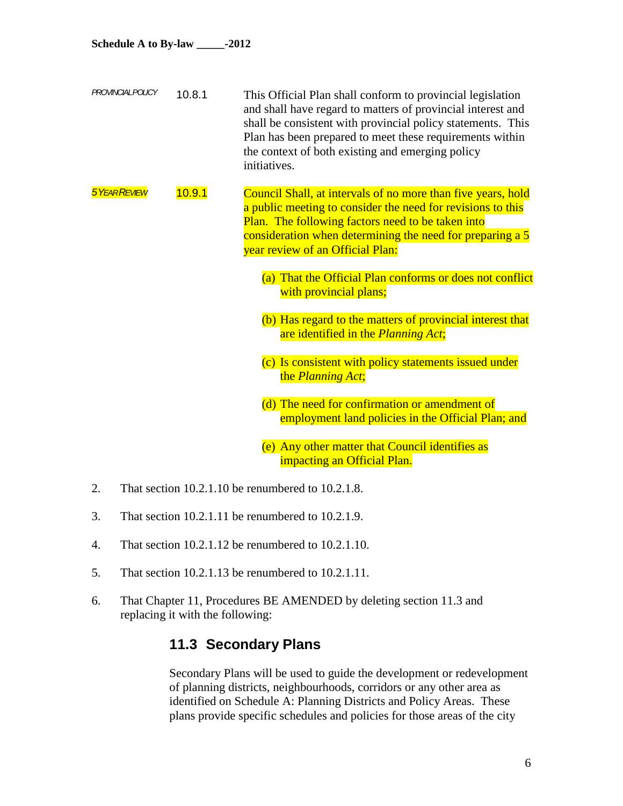| <b>PROVINCIAL POLICY</b> | 10.8.1 | This Official Plan shall conform to provincial legislation  |
|--------------------------|--------|-------------------------------------------------------------|
|                          |        | and shall have regard to matters of provincial interest and |
|                          |        | shall be consistent with provincial policy statements. This |
|                          |        | Plan has been prepared to meet these requirements within    |
|                          |        | the context of both existing and emerging policy            |
|                          |        | initiatives.                                                |

- **5Y** *SYEAR REVIEW* 10.9.1 Council Shall, at intervals of no more than five years, hold a public meeting to consider the need for revisions to this Plan. The following factors need to be taken into consideration when determining the need for preparing a 5 year review of an Official Plan:
	- (a) That the Official Plan conforms or does not conflict with provincial plans;
	- (b) Has regard to the matters of provincial interest that are identified in the *Planning Act*;
	- (c) Is consistent with policy statements issued under the *Planning Act*;
	- (d) The need for confirmation or amendment of employment land policies in the Official Plan; and
	- (e) Any other matter that Council identifies as impacting an Official Plan.
- 2. That section 10.2.1.10 be renumbered to 10.2.1.8.
- 3. That section 10.2.1.11 be renumbered to 10.2.1.9.
- 4. That section 10.2.1.12 be renumbered to 10.2.1.10.
- 5. That section 10.2.1.13 be renumbered to 10.2.1.11.
- 6. That Chapter 11, Procedures BE AMENDED by deleting section 11.3 and replacing it with the following:

# **11.3 Secondary Plans**

Secondary Plans will be used to guide the development or redevelopment of planning districts, neighbourhoods, corridors or any other area as identified on Schedule A: Planning Districts and Policy Areas. These plans provide specific schedules and policies for those areas of the city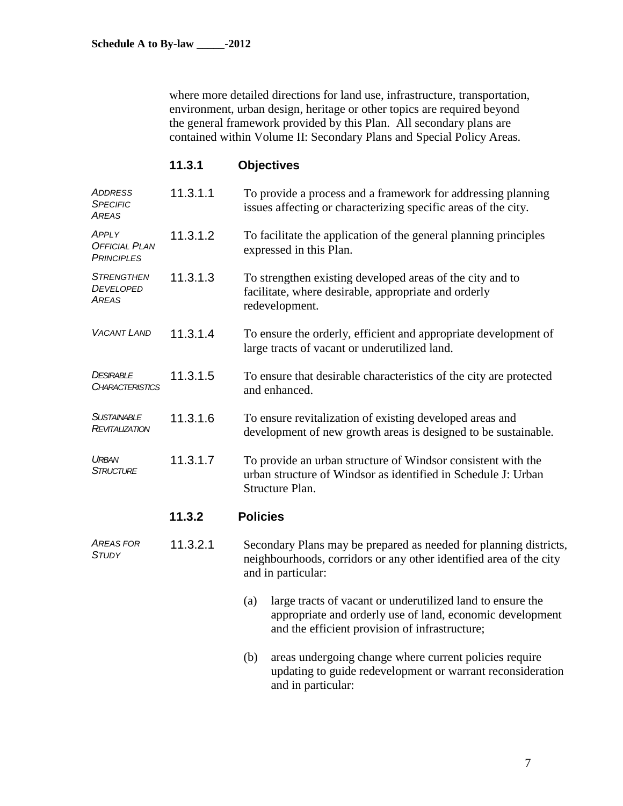where more detailed directions for land use, infrastructure, transportation, environment, urban design, heritage or other topics are required beyond the general framework provided by this Plan. All secondary plans are contained within Volume II: Secondary Plans and Special Policy Areas.

# **11.3.1 Objectives**

| <b>ADDRESS</b><br><b>SPECIFIC</b><br>AREAS         | 11.3.1.1 | To provide a process and a framework for addressing planning<br>issues affecting or characterizing specific areas of the city.                                                   |  |  |
|----------------------------------------------------|----------|----------------------------------------------------------------------------------------------------------------------------------------------------------------------------------|--|--|
| APPLY<br><b>OFFICIAL PLAN</b><br><b>PRINCIPLES</b> | 11.3.1.2 | To facilitate the application of the general planning principles<br>expressed in this Plan.                                                                                      |  |  |
| <b>STRENGTHEN</b><br>DEVELOPED<br>Areas            | 11.3.1.3 | To strengthen existing developed areas of the city and to<br>facilitate, where desirable, appropriate and orderly<br>redevelopment.                                              |  |  |
| <b>VACANT LAND</b>                                 | 11.3.1.4 | To ensure the orderly, efficient and appropriate development of<br>large tracts of vacant or underutilized land.                                                                 |  |  |
| DESIRABLE<br>CHARACTERISTICS                       | 11.3.1.5 | To ensure that desirable characteristics of the city are protected<br>and enhanced.                                                                                              |  |  |
| <b>SUSTAINABLE</b><br>REVITALIZATION               | 11.3.1.6 | To ensure revitalization of existing developed areas and<br>development of new growth areas is designed to be sustainable.                                                       |  |  |
| URBAN<br><b>STRUCTURE</b>                          | 11.3.1.7 | To provide an urban structure of Windsor consistent with the<br>urban structure of Windsor as identified in Schedule J: Urban<br>Structure Plan.                                 |  |  |
|                                                    | 11.3.2   | <b>Policies</b>                                                                                                                                                                  |  |  |
| Areas for<br><b>STUDY</b>                          | 11.3.2.1 | Secondary Plans may be prepared as needed for planning districts,<br>neighbourhoods, corridors or any other identified area of the city<br>and in particular:                    |  |  |
|                                                    |          | large tracts of vacant or underutilized land to ensure the<br>(a)<br>appropriate and orderly use of land, economic development<br>and the efficient provision of infrastructure; |  |  |
|                                                    |          | areas undergoing change where current policies require<br>(b)<br>updating to guide redevelopment or warrant reconsideration                                                      |  |  |

and in particular: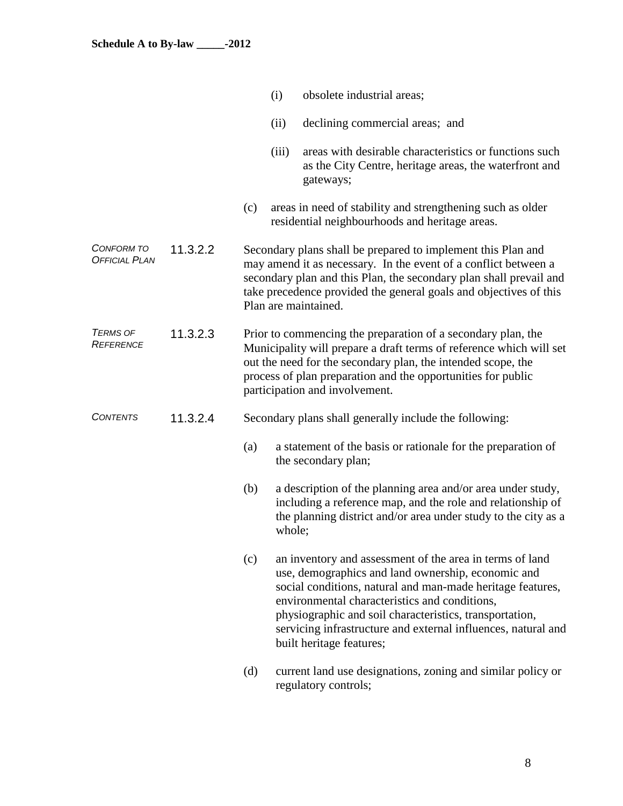|                                     |          |     | (i)    | obsolete industrial areas;                                                                                                                                                                                                                                                                                                                                                            |
|-------------------------------------|----------|-----|--------|---------------------------------------------------------------------------------------------------------------------------------------------------------------------------------------------------------------------------------------------------------------------------------------------------------------------------------------------------------------------------------------|
|                                     |          |     | (ii)   | declining commercial areas; and                                                                                                                                                                                                                                                                                                                                                       |
|                                     |          |     | (iii)  | areas with desirable characteristics or functions such<br>as the City Centre, heritage areas, the waterfront and<br>gateways;                                                                                                                                                                                                                                                         |
|                                     |          | (c) |        | areas in need of stability and strengthening such as older<br>residential neighbourhoods and heritage areas.                                                                                                                                                                                                                                                                          |
| CONFORM TO<br><b>OFFICIAL PLAN</b>  | 11.3.2.2 |     |        | Secondary plans shall be prepared to implement this Plan and<br>may amend it as necessary. In the event of a conflict between a<br>secondary plan and this Plan, the secondary plan shall prevail and<br>take precedence provided the general goals and objectives of this<br>Plan are maintained.                                                                                    |
| <b>TERMS OF</b><br><b>REFERENCE</b> | 11.3.2.3 |     |        | Prior to commencing the preparation of a secondary plan, the<br>Municipality will prepare a draft terms of reference which will set<br>out the need for the secondary plan, the intended scope, the<br>process of plan preparation and the opportunities for public<br>participation and involvement.                                                                                 |
| <b>CONTENTS</b>                     | 11.3.2.4 |     |        | Secondary plans shall generally include the following:                                                                                                                                                                                                                                                                                                                                |
|                                     |          | (a) |        | a statement of the basis or rationale for the preparation of<br>the secondary plan;                                                                                                                                                                                                                                                                                                   |
|                                     |          | (b) | whole; | a description of the planning area and/or area under study,<br>including a reference map, and the role and relationship of<br>the planning district and/or area under study to the city as a                                                                                                                                                                                          |
|                                     |          | (c) |        | an inventory and assessment of the area in terms of land<br>use, demographics and land ownership, economic and<br>social conditions, natural and man-made heritage features,<br>environmental characteristics and conditions,<br>physiographic and soil characteristics, transportation,<br>servicing infrastructure and external influences, natural and<br>built heritage features; |
|                                     |          | (d) |        | current land use designations, zoning and similar policy or<br>regulatory controls;                                                                                                                                                                                                                                                                                                   |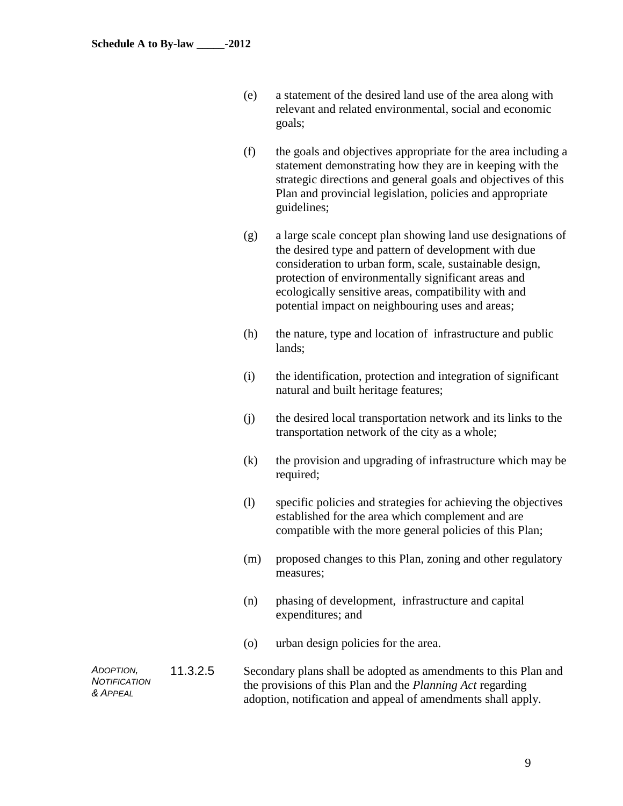| (e) | a statement of the desired land use of the area along with |
|-----|------------------------------------------------------------|
|     | relevant and related environmental, social and economic    |
|     | goals;                                                     |

- (f) the goals and objectives appropriate for the area including a statement demonstrating how they are in keeping with the strategic directions and general goals and objectives of this Plan and provincial legislation, policies and appropriate guidelines;
- (g) a large scale concept plan showing land use designations of the desired type and pattern of development with due consideration to urban form, scale, sustainable design, protection of environmentally significant areas and ecologically sensitive areas, compatibility with and potential impact on neighbouring uses and areas;
- (h) the nature, type and location of infrastructure and public lands;
- (i) the identification, protection and integration of significant natural and built heritage features;
- (j) the desired local transportation network and its links to the transportation network of the city as a whole;
- (k) the provision and upgrading of infrastructure which may be required;
- (l) specific policies and strategies for achieving the objectives established for the area which complement and are compatible with the more general policies of this Plan;
- (m) proposed changes to this Plan, zoning and other regulatory measures;
- (n) phasing of development, infrastructure and capital expenditures; and
- (o) urban design policies for the area.

*ADOPTION, NOTIFICATION & APPEAL* 11.3.2.5 Secondary plans shall be adopted as amendments to this Plan and the provisions of this Plan and the *Planning Act* regarding adoption, notification and appeal of amendments shall apply.

9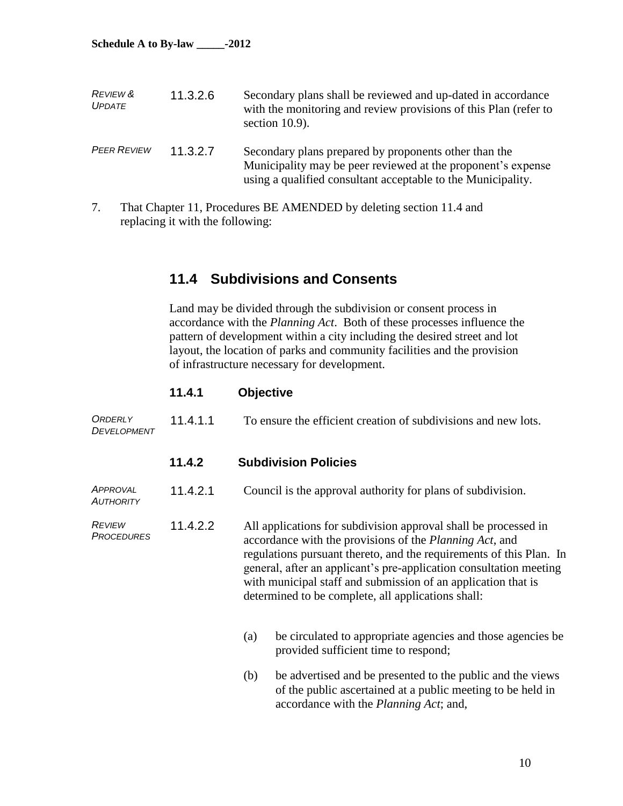**Schedule A to By-law \_\_\_\_\_-2012**

| <b>REVIEW &amp;</b><br><b>UPDATE</b> | 11.3.2.6 | Secondary plans shall be reviewed and up-dated in accordance<br>with the monitoring and review provisions of this Plan (refer to<br>section $10.9$ ).                                 |
|--------------------------------------|----------|---------------------------------------------------------------------------------------------------------------------------------------------------------------------------------------|
| <b>PEER REVIEW</b>                   | 11.3.2.7 | Secondary plans prepared by proponents other than the<br>Municipality may be peer reviewed at the proponent's expense<br>using a qualified consultant acceptable to the Municipality. |

7. That Chapter 11, Procedures BE AMENDED by deleting section 11.4 and replacing it with the following:

# **11.4 Subdivisions and Consents**

Land may be divided through the subdivision or consent process in accordance with the *Planning Act*. Both of these processes influence the pattern of development within a city including the desired street and lot layout, the location of parks and community facilities and the provision of infrastructure necessary for development.

### **11.4.1 Objective**

| <b>ORDERLY</b>     | 11.4.1.1 | To ensure the efficient creation of subdivisions and new lots. |
|--------------------|----------|----------------------------------------------------------------|
| <b>DEVELOPMENT</b> |          |                                                                |

### **11.4.2 Subdivision Policies**

| <b>APPROVAL</b>  | 11.4.2.1 | Council is the approval authority for plans of subdivision. |
|------------------|----------|-------------------------------------------------------------|
| <b>AUTHORITY</b> |          |                                                             |

- *REVIEW PROCEDURES* 11.4.2.2 All applications for subdivision approval shall be processed in accordance with the provisions of the *Planning Act*, and regulations pursuant thereto, and the requirements of this Plan. In general, after an applicant's pre-application consultation meeting with municipal staff and submission of an application that is determined to be complete, all applications shall:
	- (a) be circulated to appropriate agencies and those agencies be provided sufficient time to respond;
	- (b) be advertised and be presented to the public and the views of the public ascertained at a public meeting to be held in accordance with the *Planning Act*; and,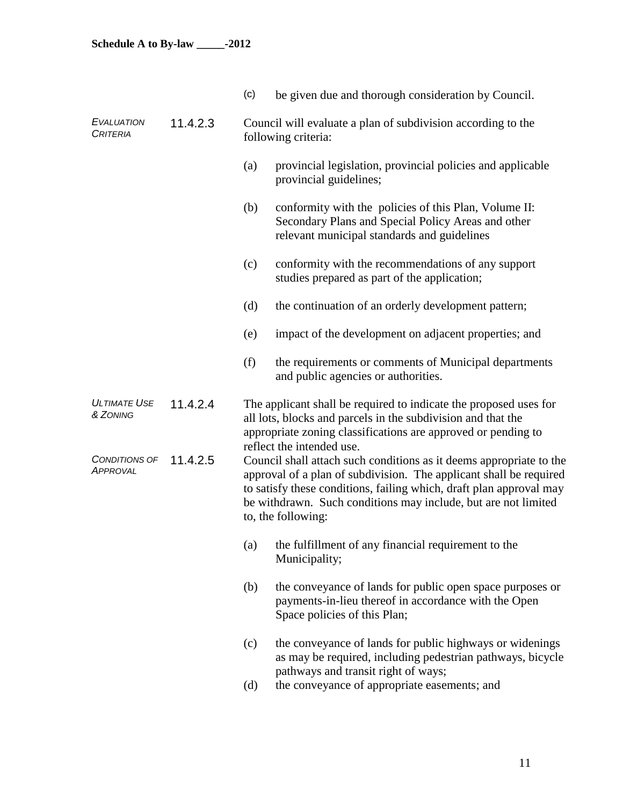|                                      |          | (c)                                                                                                                                                                                                                             | be given due and thorough consideration by Council.                                                                                                                                                                                                                                                      |  |  |
|--------------------------------------|----------|---------------------------------------------------------------------------------------------------------------------------------------------------------------------------------------------------------------------------------|----------------------------------------------------------------------------------------------------------------------------------------------------------------------------------------------------------------------------------------------------------------------------------------------------------|--|--|
| <b>EVALUATION</b><br><b>CRITERIA</b> | 11.4.2.3 | Council will evaluate a plan of subdivision according to the<br>following criteria:                                                                                                                                             |                                                                                                                                                                                                                                                                                                          |  |  |
|                                      |          | (a)                                                                                                                                                                                                                             | provincial legislation, provincial policies and applicable<br>provincial guidelines;                                                                                                                                                                                                                     |  |  |
|                                      |          | (b)                                                                                                                                                                                                                             | conformity with the policies of this Plan, Volume II:<br>Secondary Plans and Special Policy Areas and other<br>relevant municipal standards and guidelines                                                                                                                                               |  |  |
|                                      |          | (c)                                                                                                                                                                                                                             | conformity with the recommendations of any support<br>studies prepared as part of the application;                                                                                                                                                                                                       |  |  |
|                                      |          | (d)                                                                                                                                                                                                                             | the continuation of an orderly development pattern;                                                                                                                                                                                                                                                      |  |  |
|                                      |          | (e)                                                                                                                                                                                                                             | impact of the development on adjacent properties; and                                                                                                                                                                                                                                                    |  |  |
|                                      |          | (f)                                                                                                                                                                                                                             | the requirements or comments of Municipal departments<br>and public agencies or authorities.                                                                                                                                                                                                             |  |  |
| <b>ULTIMATE USE</b><br>& ZONING      | 11.4.2.4 | The applicant shall be required to indicate the proposed uses for<br>all lots, blocks and parcels in the subdivision and that the<br>appropriate zoning classifications are approved or pending to<br>reflect the intended use. |                                                                                                                                                                                                                                                                                                          |  |  |
| CONDITIONS OF<br>APPROVAL            | 11.4.2.5 |                                                                                                                                                                                                                                 | Council shall attach such conditions as it deems appropriate to the<br>approval of a plan of subdivision. The applicant shall be required<br>to satisfy these conditions, failing which, draft plan approval may<br>be withdrawn. Such conditions may include, but are not limited<br>to, the following: |  |  |
|                                      |          |                                                                                                                                                                                                                                 | (a) the fulfillment of any financial requirement to the<br>Municipality;                                                                                                                                                                                                                                 |  |  |
|                                      |          | (b)                                                                                                                                                                                                                             | the conveyance of lands for public open space purposes or<br>payments-in-lieu thereof in accordance with the Open<br>Space policies of this Plan;                                                                                                                                                        |  |  |
|                                      |          | (c)                                                                                                                                                                                                                             | the conveyance of lands for public highways or widenings<br>as may be required, including pedestrian pathways, bicycle<br>pathways and transit right of ways;                                                                                                                                            |  |  |
|                                      |          | (d)                                                                                                                                                                                                                             | the conveyance of appropriate easements; and                                                                                                                                                                                                                                                             |  |  |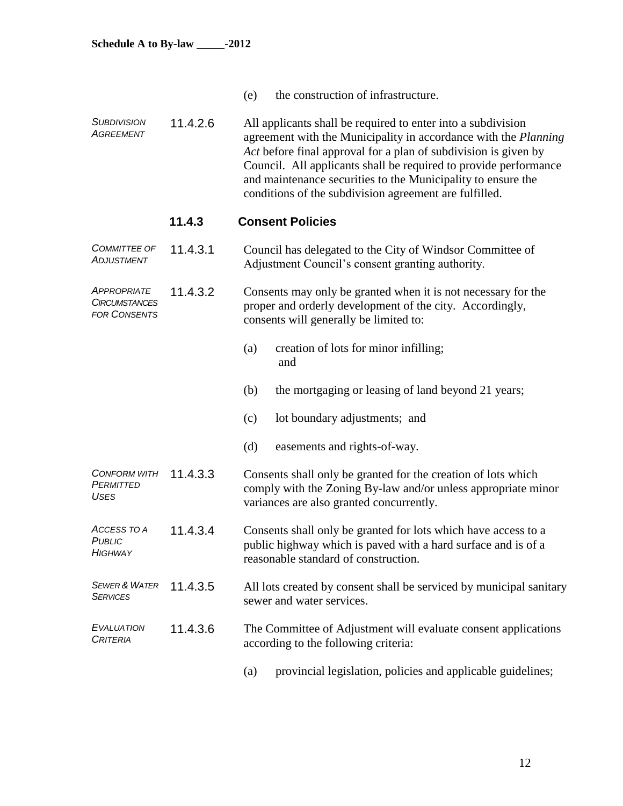- (e) the construction of infrastructure.
- *SUBDIVISION AGREEMENT* 11.4.2.6 All applicants shall be required to enter into a subdivision agreement with the Municipality in accordance with the *Planning Act* before final approval for a plan of subdivision is given by Council. All applicants shall be required to provide performance and maintenance securities to the Municipality to ensure the conditions of the subdivision agreement are fulfilled.

### **11.4.3 Consent Policies**

- *COMMITTEE OF ADJUSTMENT* 11.4.3.1 Council has delegated to the City of Windsor Committee of Adjustment Council's consent granting authority.
- *APPROPRIATE CIRCUMSTANCES FOR CONSENTS* 11.4.3.2 Consents may only be granted when it is not necessary for the proper and orderly development of the city. Accordingly, consents will generally be limited to:
	- (a) creation of lots for minor infilling; and
	- (b) the mortgaging or leasing of land beyond 21 years;
	- (c) lot boundary adjustments; and
	- (d) easements and rights-of-way.

*CONFORM WITH PERMITTED USES* Consents shall only be granted for the creation of lots which comply with the Zoning By-law and/or unless appropriate minor variances are also granted concurrently.

- *ACCESS TO A PUBLIC HIGHWAY*  11.4.3.4 Consents shall only be granted for lots which have access to a public highway which is paved with a hard surface and is of a reasonable standard of construction.
- *SEWER & WATER SERVICES* 11.4.3.5 All lots created by consent shall be serviced by municipal sanitary sewer and water services.
- *EVALUATION CRITERIA* 11.4.3.6 The Committee of Adjustment will evaluate consent applications according to the following criteria:
	- (a) provincial legislation, policies and applicable guidelines;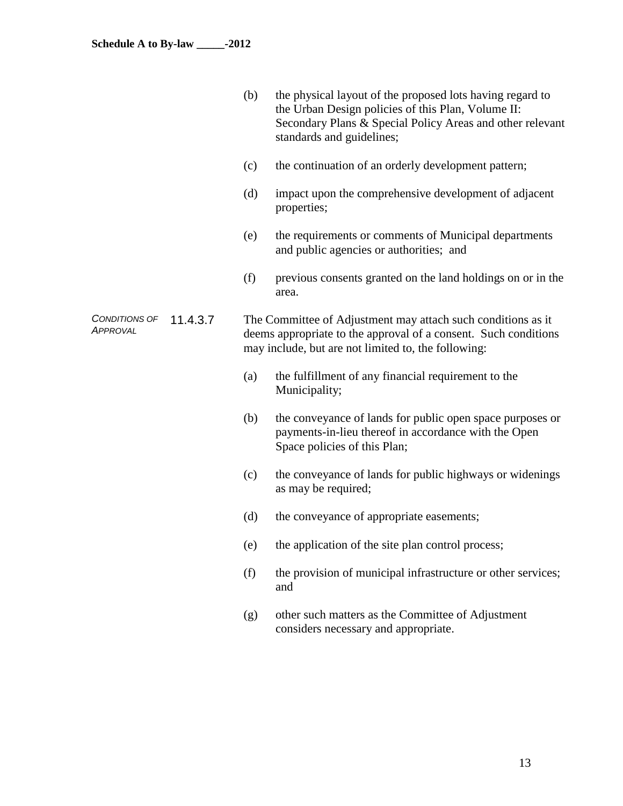|                                  |          | (b) | the physical layout of the proposed lots having regard to<br>the Urban Design policies of this Plan, Volume II:<br>Secondary Plans & Special Policy Areas and other relevant<br>standards and guidelines; |
|----------------------------------|----------|-----|-----------------------------------------------------------------------------------------------------------------------------------------------------------------------------------------------------------|
|                                  |          | (c) | the continuation of an orderly development pattern;                                                                                                                                                       |
|                                  |          | (d) | impact upon the comprehensive development of adjacent<br>properties;                                                                                                                                      |
|                                  |          | (e) | the requirements or comments of Municipal departments<br>and public agencies or authorities; and                                                                                                          |
|                                  |          | (f) | previous consents granted on the land holdings on or in the<br>area.                                                                                                                                      |
| CONDITIONS OF<br><b>APPROVAL</b> | 11.4.3.7 |     | The Committee of Adjustment may attach such conditions as it<br>deems appropriate to the approval of a consent. Such conditions<br>may include, but are not limited to, the following:                    |
|                                  |          | (a) | the fulfillment of any financial requirement to the<br>Municipality;                                                                                                                                      |
|                                  |          | (b) | the conveyance of lands for public open space purposes or<br>payments-in-lieu thereof in accordance with the Open<br>Space policies of this Plan;                                                         |
|                                  |          | (c) | the conveyance of lands for public highways or widenings<br>as may be required;                                                                                                                           |
|                                  |          | (d) | the conveyance of appropriate easements;                                                                                                                                                                  |
|                                  |          | (e) | the application of the site plan control process;                                                                                                                                                         |
|                                  |          | (f) | the provision of municipal infrastructure or other services;<br>and                                                                                                                                       |
|                                  |          | (g) | other such matters as the Committee of Adjustment                                                                                                                                                         |

considers necessary and appropriate.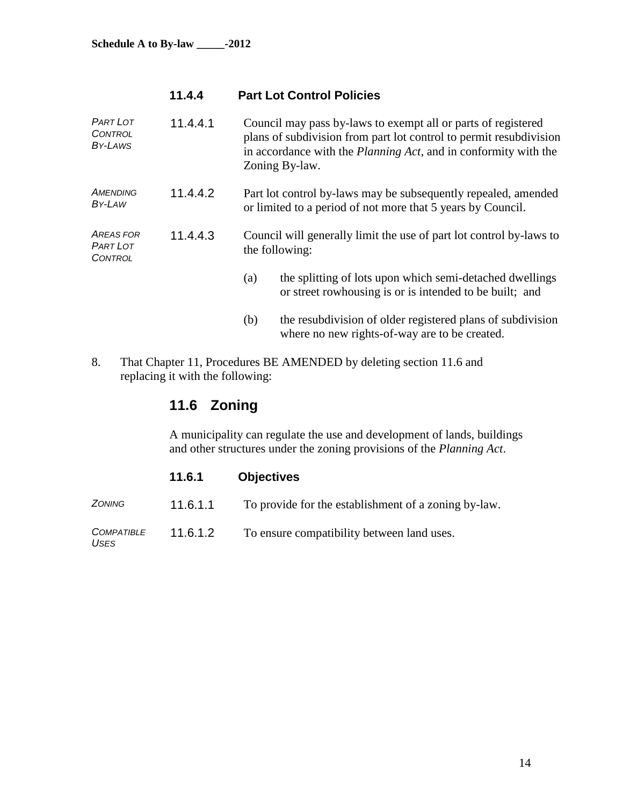# **11.4.4 Part Lot Control Policies**

| <b>PART LOT</b><br><b>CONTROL</b><br>BY-LAWS   | 11.4.4.1 |     | Council may pass by-laws to exempt all or parts of registered<br>plans of subdivision from part lot control to permit resubdivision<br>in accordance with the <i>Planning Act</i> , and in conformity with the<br>Zoning By-law. |
|------------------------------------------------|----------|-----|----------------------------------------------------------------------------------------------------------------------------------------------------------------------------------------------------------------------------------|
| <b>AMENDING</b><br>BY-LAW                      | 11.4.4.2 |     | Part lot control by-laws may be subsequently repealed, amended<br>or limited to a period of not more that 5 years by Council.                                                                                                    |
| <b>AREAS FOR</b><br><b>PART LOT</b><br>CONTROL | 11.4.4.3 |     | Council will generally limit the use of part lot control by-laws to<br>the following:                                                                                                                                            |
|                                                |          | (a) | the splitting of lots upon which semi-detached dwellings<br>or street rowhousing is or is intended to be built; and                                                                                                              |
|                                                |          | (b) | the resubdivision of older registered plans of subdivision<br>where no new rights-of-way are to be created.                                                                                                                      |
| 8.                                             |          |     | That Chapter 11, Procedures BE AMENDED by deleting section 11.6 and                                                                                                                                                              |

replacing it with the following:

# **11.6 Zoning**

A municipality can regulate the use and development of lands, buildings and other structures under the zoning provisions of the *Planning Act*.

|                                  | 11.6.1   | <b>Objectives</b>                                    |
|----------------------------------|----------|------------------------------------------------------|
| <b>ZONING</b>                    | 11.6.1.1 | To provide for the establishment of a zoning by-law. |
| <b>COMPATIBLE</b><br><b>USES</b> | 11.6.1.2 | To ensure compatibility between land uses.           |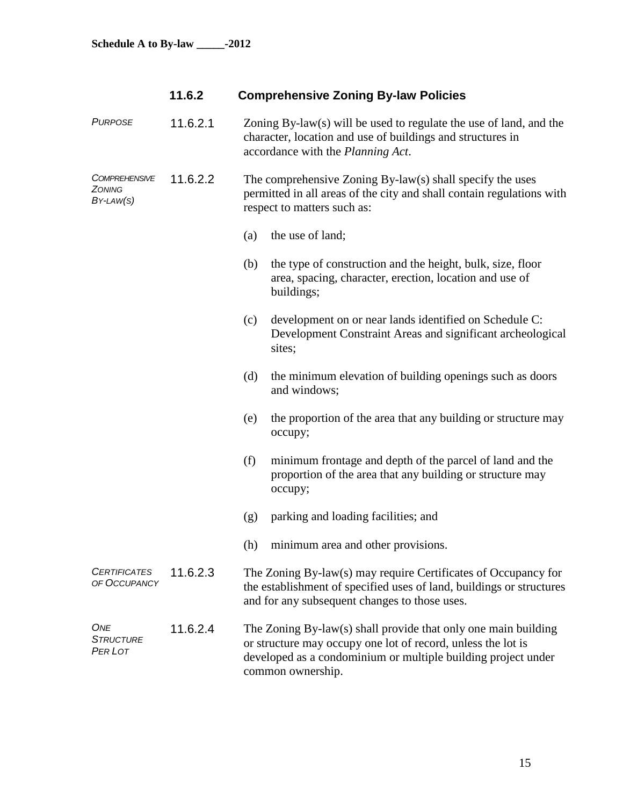| 11.6.2 | <b>Comprehensive Zoning By-law Policies</b> |  |
|--------|---------------------------------------------|--|
|        |                                             |  |

| <b>PURPOSE</b>                                     | 11.6.2.1 | Zoning $By-law(s)$ will be used to regulate the use of land, and the<br>character, location and use of buildings and structures in<br>accordance with the Planning Act. |                                                                                                                                                                                                                      |
|----------------------------------------------------|----------|-------------------------------------------------------------------------------------------------------------------------------------------------------------------------|----------------------------------------------------------------------------------------------------------------------------------------------------------------------------------------------------------------------|
| <i><b>COMPREHENSIVE</b></i><br>ZONING<br>BY-LAW(S) | 11.6.2.2 |                                                                                                                                                                         | The comprehensive Zoning By-law(s) shall specify the uses<br>permitted in all areas of the city and shall contain regulations with<br>respect to matters such as:                                                    |
|                                                    |          | (a)                                                                                                                                                                     | the use of land;                                                                                                                                                                                                     |
|                                                    |          | (b)                                                                                                                                                                     | the type of construction and the height, bulk, size, floor<br>area, spacing, character, erection, location and use of<br>buildings;                                                                                  |
|                                                    |          | (c)                                                                                                                                                                     | development on or near lands identified on Schedule C:<br>Development Constraint Areas and significant archeological<br>sites;                                                                                       |
|                                                    |          | (d)                                                                                                                                                                     | the minimum elevation of building openings such as doors<br>and windows;                                                                                                                                             |
|                                                    |          | (e)                                                                                                                                                                     | the proportion of the area that any building or structure may<br>occupy;                                                                                                                                             |
|                                                    |          | (f)                                                                                                                                                                     | minimum frontage and depth of the parcel of land and the<br>proportion of the area that any building or structure may<br>occupy;                                                                                     |
|                                                    |          | (g)                                                                                                                                                                     | parking and loading facilities; and                                                                                                                                                                                  |
|                                                    |          | (h)                                                                                                                                                                     | minimum area and other provisions.                                                                                                                                                                                   |
| <b>CERTIFICATES</b><br>OF OCCUPANCY                | 11.6.2.3 |                                                                                                                                                                         | The Zoning By-law(s) may require Certificates of Occupancy for<br>the establishment of specified uses of land, buildings or structures<br>and for any subsequent changes to those uses.                              |
| ONE<br><b>STRUCTURE</b><br>PER LOT                 | 11.6.2.4 |                                                                                                                                                                         | The Zoning By-law(s) shall provide that only one main building<br>or structure may occupy one lot of record, unless the lot is<br>developed as a condominium or multiple building project under<br>common ownership. |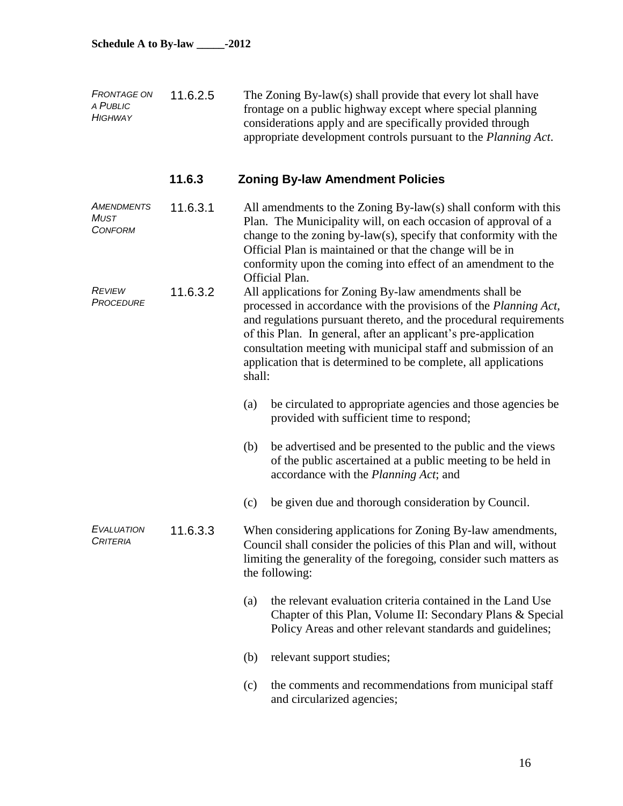| <b>FRONTAGE ON</b><br>A PUBLIC<br><b>HIGHWAY</b> | 11.6.2.5 | The Zoning By-law(s) shall provide that every lot shall have<br>frontage on a public highway except where special planning<br>considerations apply and are specifically provided through<br>appropriate development controls pursuant to the Planning Act.                                                                                                                                                       |
|--------------------------------------------------|----------|------------------------------------------------------------------------------------------------------------------------------------------------------------------------------------------------------------------------------------------------------------------------------------------------------------------------------------------------------------------------------------------------------------------|
|                                                  | 11.6.3   | <b>Zoning By-law Amendment Policies</b>                                                                                                                                                                                                                                                                                                                                                                          |
| AMENDMENTS<br><b>MUST</b><br><b>CONFORM</b>      | 11.6.3.1 | All amendments to the Zoning By-law(s) shall conform with this<br>Plan. The Municipality will, on each occasion of approval of a<br>change to the zoning by-law(s), specify that conformity with the<br>Official Plan is maintained or that the change will be in<br>conformity upon the coming into effect of an amendment to the<br>Official Plan.                                                             |
| <b>REVIEW</b><br>11.6.3.2<br><b>PROCEDURE</b>    |          | All applications for Zoning By-law amendments shall be<br>processed in accordance with the provisions of the Planning Act,<br>and regulations pursuant thereto, and the procedural requirements<br>of this Plan. In general, after an applicant's pre-application<br>consultation meeting with municipal staff and submission of an<br>application that is determined to be complete, all applications<br>shall: |
|                                                  |          | be circulated to appropriate agencies and those agencies be<br>(a)<br>provided with sufficient time to respond;                                                                                                                                                                                                                                                                                                  |
|                                                  |          | be advertised and be presented to the public and the views<br>(b)<br>of the public ascertained at a public meeting to be held in<br>accordance with the <i>Planning Act</i> ; and                                                                                                                                                                                                                                |
|                                                  |          | be given due and thorough consideration by Council.<br>(c)                                                                                                                                                                                                                                                                                                                                                       |
| <b>EVALUATION</b><br>CRITERIA                    | 11.6.3.3 | When considering applications for Zoning By-law amendments,<br>Council shall consider the policies of this Plan and will, without<br>limiting the generality of the foregoing, consider such matters as<br>the following:                                                                                                                                                                                        |
|                                                  |          | the relevant evaluation criteria contained in the Land Use<br>(a)<br>Chapter of this Plan, Volume II: Secondary Plans & Special<br>Policy Areas and other relevant standards and guidelines;                                                                                                                                                                                                                     |
|                                                  |          | relevant support studies;<br>(b)                                                                                                                                                                                                                                                                                                                                                                                 |
|                                                  |          | the comments and recommendations from municipal staff<br>(c)<br>and circularized agencies;                                                                                                                                                                                                                                                                                                                       |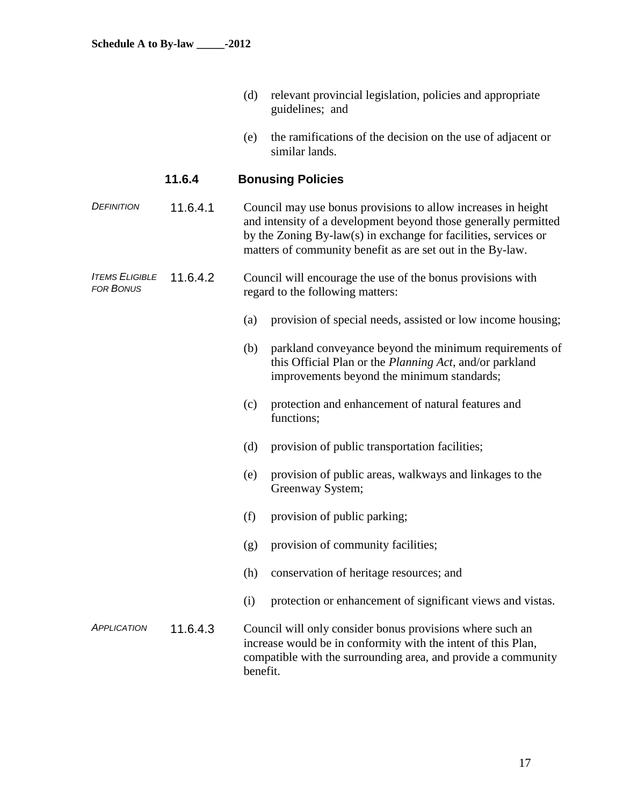- (d) relevant provincial legislation, policies and appropriate guidelines; and
- (e) the ramifications of the decision on the use of adjacent or similar lands.

# **11.6.4 Bonusing Policies**

*DEFINITION* 11.6.4.1 Council may use bonus provisions to allow increases in height and intensity of a development beyond those generally permitted by the Zoning By-law(s) in exchange for facilities, services or matters of community benefit as are set out in the By-law.

#### *ITEMS ELIGIBLE FOR BONUS* 11.6.4.2 Council will encourage the use of the bonus provisions with regard to the following matters:

- (a) provision of special needs, assisted or low income housing;
- (b) parkland conveyance beyond the minimum requirements of this Official Plan or the *Planning Act*, and/or parkland improvements beyond the minimum standards;
- (c) protection and enhancement of natural features and functions;
- (d) provision of public transportation facilities;
- (e) provision of public areas, walkways and linkages to the Greenway System;
- (f) provision of public parking;
- (g) provision of community facilities;
- (h) conservation of heritage resources; and
- (i) protection or enhancement of significant views and vistas.
- *APPLICATION* 11.6.4.3 Council will only consider bonus provisions where such an increase would be in conformity with the intent of this Plan, compatible with the surrounding area, and provide a community benefit.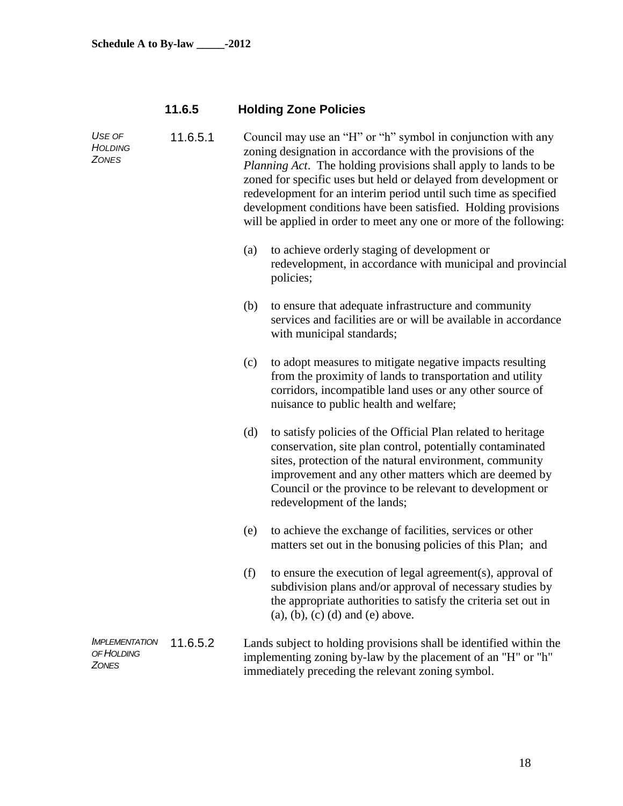# **11.6.5 Holding Zone Policies**

| USE OF<br>HOLDING<br><b>ZONES</b>                   | 11.6.5.1 | Council may use an "H" or "h" symbol in conjunction with any<br>zoning designation in accordance with the provisions of the<br><i>Planning Act.</i> The holding provisions shall apply to lands to be<br>zoned for specific uses but held or delayed from development or<br>redevelopment for an interim period until such time as specified<br>development conditions have been satisfied. Holding provisions<br>will be applied in order to meet any one or more of the following: |                                                                                                                                                                                                                                                                                                                                          |  |  |
|-----------------------------------------------------|----------|--------------------------------------------------------------------------------------------------------------------------------------------------------------------------------------------------------------------------------------------------------------------------------------------------------------------------------------------------------------------------------------------------------------------------------------------------------------------------------------|------------------------------------------------------------------------------------------------------------------------------------------------------------------------------------------------------------------------------------------------------------------------------------------------------------------------------------------|--|--|
|                                                     |          | (a)                                                                                                                                                                                                                                                                                                                                                                                                                                                                                  | to achieve orderly staging of development or<br>redevelopment, in accordance with municipal and provincial<br>policies;                                                                                                                                                                                                                  |  |  |
|                                                     |          | (b)                                                                                                                                                                                                                                                                                                                                                                                                                                                                                  | to ensure that adequate infrastructure and community<br>services and facilities are or will be available in accordance<br>with municipal standards;                                                                                                                                                                                      |  |  |
|                                                     |          | (c)                                                                                                                                                                                                                                                                                                                                                                                                                                                                                  | to adopt measures to mitigate negative impacts resulting<br>from the proximity of lands to transportation and utility<br>corridors, incompatible land uses or any other source of<br>nuisance to public health and welfare;                                                                                                              |  |  |
|                                                     |          | (d)                                                                                                                                                                                                                                                                                                                                                                                                                                                                                  | to satisfy policies of the Official Plan related to heritage<br>conservation, site plan control, potentially contaminated<br>sites, protection of the natural environment, community<br>improvement and any other matters which are deemed by<br>Council or the province to be relevant to development or<br>redevelopment of the lands; |  |  |
|                                                     |          | (e)                                                                                                                                                                                                                                                                                                                                                                                                                                                                                  | to achieve the exchange of facilities, services or other<br>matters set out in the bonusing policies of this Plan; and                                                                                                                                                                                                                   |  |  |
|                                                     |          | (f)                                                                                                                                                                                                                                                                                                                                                                                                                                                                                  | to ensure the execution of legal agreement(s), approval of<br>subdivision plans and/or approval of necessary studies by<br>the appropriate authorities to satisfy the criteria set out in<br>$(a), (b), (c)$ $(d)$ and $(e)$ above.                                                                                                      |  |  |
| <b>IMPLEMENTATION</b><br>OF HOLDING<br><b>ZONES</b> | 11.6.5.2 |                                                                                                                                                                                                                                                                                                                                                                                                                                                                                      | Lands subject to holding provisions shall be identified within the<br>implementing zoning by-law by the placement of an "H" or "h"<br>immediately preceding the relevant zoning symbol.                                                                                                                                                  |  |  |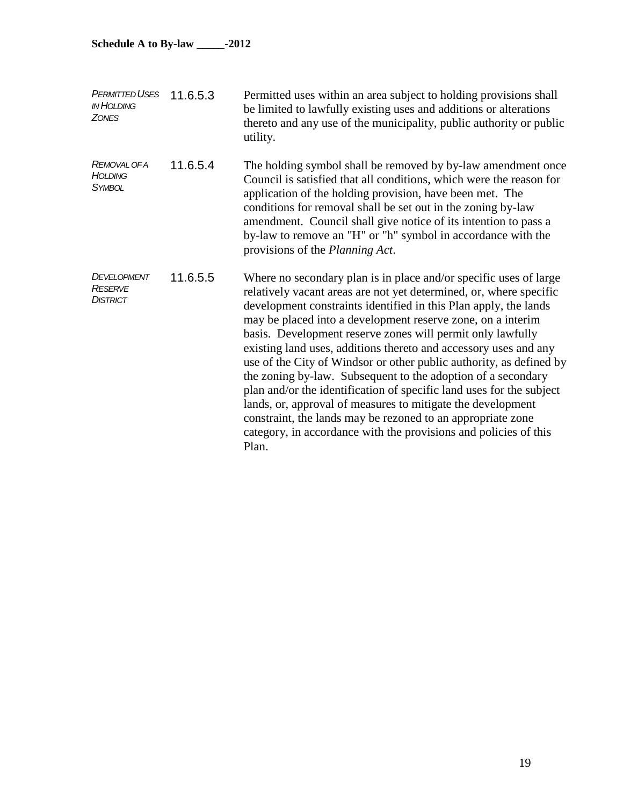| <b>PERMITTED USES</b><br><b>IN HOLDING</b><br><b>ZONES</b> | 11.6.5.3 | Permitted uses within an area subject to holding provisions shall<br>be limited to lawfully existing uses and additions or alterations<br>thereto and any use of the municipality, public authority or public<br>utility.                                                                                                                                                                                                                                                                                                                                                                                                                                                                                                                                                                                                              |
|------------------------------------------------------------|----------|----------------------------------------------------------------------------------------------------------------------------------------------------------------------------------------------------------------------------------------------------------------------------------------------------------------------------------------------------------------------------------------------------------------------------------------------------------------------------------------------------------------------------------------------------------------------------------------------------------------------------------------------------------------------------------------------------------------------------------------------------------------------------------------------------------------------------------------|
| REMOVAL OF A<br><b>HOLDING</b><br><b>SYMBOL</b>            | 11.6.5.4 | The holding symbol shall be removed by by-law amendment once<br>Council is satisfied that all conditions, which were the reason for<br>application of the holding provision, have been met. The<br>conditions for removal shall be set out in the zoning by-law<br>amendment. Council shall give notice of its intention to pass a<br>by-law to remove an "H" or "h" symbol in accordance with the<br>provisions of the Planning Act.                                                                                                                                                                                                                                                                                                                                                                                                  |
| DEVELOPMENT<br><b>RESERVE</b><br><b>DISTRICT</b>           | 11.6.5.5 | Where no secondary plan is in place and/or specific uses of large<br>relatively vacant areas are not yet determined, or, where specific<br>development constraints identified in this Plan apply, the lands<br>may be placed into a development reserve zone, on a interim<br>basis. Development reserve zones will permit only lawfully<br>existing land uses, additions thereto and accessory uses and any<br>use of the City of Windsor or other public authority, as defined by<br>the zoning by-law. Subsequent to the adoption of a secondary<br>plan and/or the identification of specific land uses for the subject<br>lands, or, approval of measures to mitigate the development<br>constraint, the lands may be rezoned to an appropriate zone<br>category, in accordance with the provisions and policies of this<br>Plan. |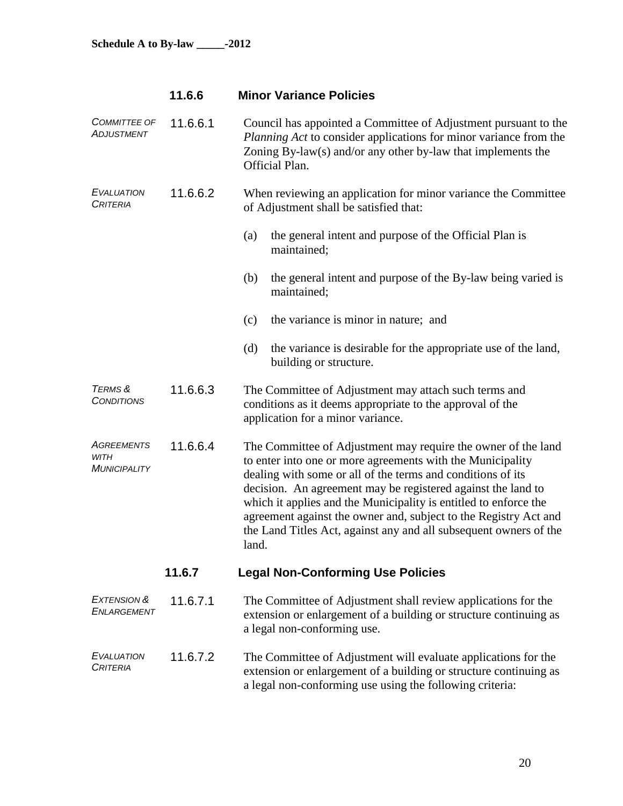| 11.6.6 |  | <b>Minor Variance Policies</b> |  |
|--------|--|--------------------------------|--|
|--------|--|--------------------------------|--|

| <b>COMMITTEE OF</b><br>ADJUSTMENT                | 11.6.6.1 | Council has appointed a Committee of Adjustment pursuant to the<br>Planning Act to consider applications for minor variance from the<br>Zoning By-law(s) and/or any other by-law that implements the<br>Official Plan.                                                                                                                                                                                                                                                           |
|--------------------------------------------------|----------|----------------------------------------------------------------------------------------------------------------------------------------------------------------------------------------------------------------------------------------------------------------------------------------------------------------------------------------------------------------------------------------------------------------------------------------------------------------------------------|
| <b>EVALUATION</b><br><b>CRITERIA</b>             | 11.6.6.2 | When reviewing an application for minor variance the Committee<br>of Adjustment shall be satisfied that:                                                                                                                                                                                                                                                                                                                                                                         |
|                                                  |          | the general intent and purpose of the Official Plan is<br>(a)<br>maintained;                                                                                                                                                                                                                                                                                                                                                                                                     |
|                                                  |          | the general intent and purpose of the By-law being varied is<br>(b)<br>maintained;                                                                                                                                                                                                                                                                                                                                                                                               |
|                                                  |          | the variance is minor in nature; and<br>(c)                                                                                                                                                                                                                                                                                                                                                                                                                                      |
|                                                  |          | (d)<br>the variance is desirable for the appropriate use of the land,<br>building or structure.                                                                                                                                                                                                                                                                                                                                                                                  |
| TERMS &<br><b>CONDITIONS</b>                     | 11.6.6.3 | The Committee of Adjustment may attach such terms and<br>conditions as it deems appropriate to the approval of the<br>application for a minor variance.                                                                                                                                                                                                                                                                                                                          |
| <b>AGREEMENTS</b><br>WITH<br><b>MUNICIPALITY</b> | 11.6.6.4 | The Committee of Adjustment may require the owner of the land<br>to enter into one or more agreements with the Municipality<br>dealing with some or all of the terms and conditions of its<br>decision. An agreement may be registered against the land to<br>which it applies and the Municipality is entitled to enforce the<br>agreement against the owner and, subject to the Registry Act and<br>the Land Titles Act, against any and all subsequent owners of the<br>land. |
|                                                  | 11.6.7   | <b>Legal Non-Conforming Use Policies</b>                                                                                                                                                                                                                                                                                                                                                                                                                                         |
| EXTENSION &<br>ENLARGEMENT                       | 11.6.7.1 | The Committee of Adjustment shall review applications for the<br>extension or enlargement of a building or structure continuing as<br>a legal non-conforming use.                                                                                                                                                                                                                                                                                                                |
| <b>EVALUATION</b><br><b>CRITERIA</b>             | 11.6.7.2 | The Committee of Adjustment will evaluate applications for the<br>extension or enlargement of a building or structure continuing as<br>a legal non-conforming use using the following criteria:                                                                                                                                                                                                                                                                                  |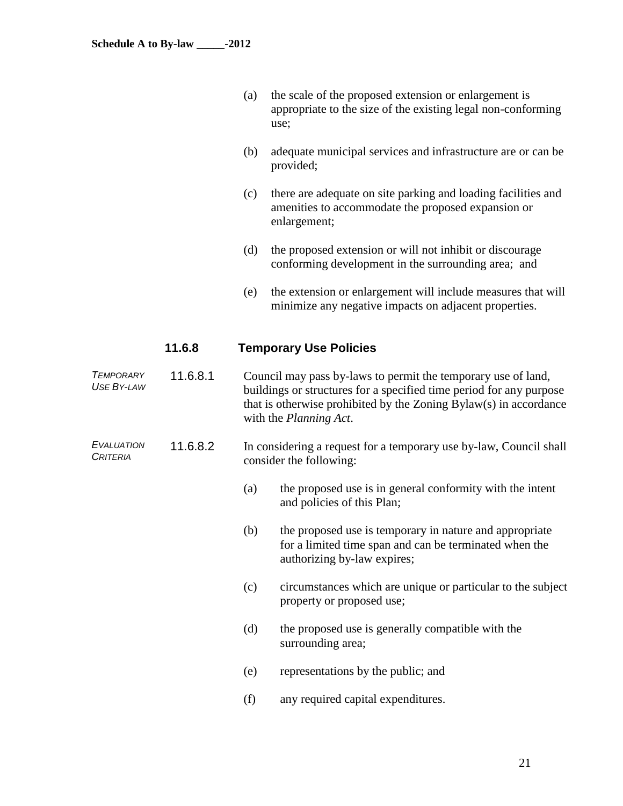- (a) the scale of the proposed extension or enlargement is appropriate to the size of the existing legal non-conforming use;
- (b) adequate municipal services and infrastructure are or can be provided;
- (c) there are adequate on site parking and loading facilities and amenities to accommodate the proposed expansion or enlargement;
- (d) the proposed extension or will not inhibit or discourage conforming development in the surrounding area; and
- (e) the extension or enlargement will include measures that will minimize any negative impacts on adjacent properties.

# **11.6.8 Temporary Use Policies**

| <b>TEMPORARY</b><br><b>USE BY-LAW</b> | 11.6.8.1 |     | Council may pass by-laws to permit the temporary use of land,<br>buildings or structures for a specified time period for any purpose<br>that is otherwise prohibited by the Zoning Bylaw(s) in accordance<br>with the Planning Act. |
|---------------------------------------|----------|-----|-------------------------------------------------------------------------------------------------------------------------------------------------------------------------------------------------------------------------------------|
| <b>EVALUATION</b><br><b>CRITERIA</b>  | 11.6.8.2 |     | In considering a request for a temporary use by-law, Council shall<br>consider the following:                                                                                                                                       |
|                                       |          | (a) | the proposed use is in general conformity with the intent<br>and policies of this Plan;                                                                                                                                             |
|                                       |          | (b) | the proposed use is temporary in nature and appropriate<br>for a limited time span and can be terminated when the<br>authorizing by-law expires;                                                                                    |
|                                       |          | (c) | circumstances which are unique or particular to the subject<br>property or proposed use;                                                                                                                                            |
|                                       |          | (d) | the proposed use is generally compatible with the<br>surrounding area;                                                                                                                                                              |
|                                       |          | (e) | representations by the public; and                                                                                                                                                                                                  |

(f) any required capital expenditures.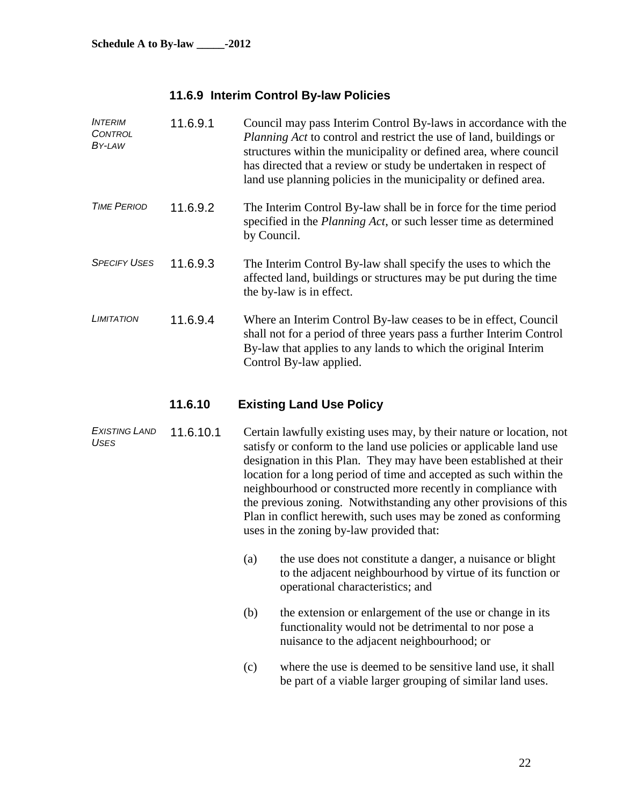# **11.6.9 Interim Control By-law Policies**

| <b>INTERIM</b><br><b>CONTROL</b><br>BY-LAW | 11.6.9.1  | Council may pass Interim Control By-laws in accordance with the<br><i>Planning Act</i> to control and restrict the use of land, buildings or<br>structures within the municipality or defined area, where council<br>has directed that a review or study be undertaken in respect of<br>land use planning policies in the municipality or defined area. |
|--------------------------------------------|-----------|---------------------------------------------------------------------------------------------------------------------------------------------------------------------------------------------------------------------------------------------------------------------------------------------------------------------------------------------------------|
| <b>TIME PERIOD</b>                         | 11.6.9.2  | The Interim Control By-law shall be in force for the time period<br>specified in the <i>Planning Act</i> , or such lesser time as determined<br>by Council.                                                                                                                                                                                             |
| <b>SPECIFY USES</b>                        | 11.6.9.3  | The Interim Control By-law shall specify the uses to which the<br>affected land, buildings or structures may be put during the time<br>the by-law is in effect.                                                                                                                                                                                         |
| <b>LIMITATION</b>                          | 11.6.9.4  | Where an Interim Control By-law ceases to be in effect, Council<br>shall not for a period of three years pass a further Interim Control<br>By-law that applies to any lands to which the original Interim<br>Control By-law applied.                                                                                                                    |
|                                            | 11.6.10   | <b>Existing Land Use Policy</b>                                                                                                                                                                                                                                                                                                                         |
| <b>EXISTING LAND</b><br>I <sub>2</sub>     | 11.6.10.1 | Certain lawfully existing uses may, by their nature or location, not                                                                                                                                                                                                                                                                                    |

*USES* satisfy or conform to the land use policies or applicable land use designation in this Plan. They may have been established at their location for a long period of time and accepted as such within the neighbourhood or constructed more recently in compliance with the previous zoning. Notwithstanding any other provisions of this Plan in conflict herewith, such uses may be zoned as conforming uses in the zoning by-law provided that:

- (a) the use does not constitute a danger, a nuisance or blight to the adjacent neighbourhood by virtue of its function or operational characteristics; and
- (b) the extension or enlargement of the use or change in its functionality would not be detrimental to nor pose a nuisance to the adjacent neighbourhood; or
- (c) where the use is deemed to be sensitive land use, it shall be part of a viable larger grouping of similar land uses.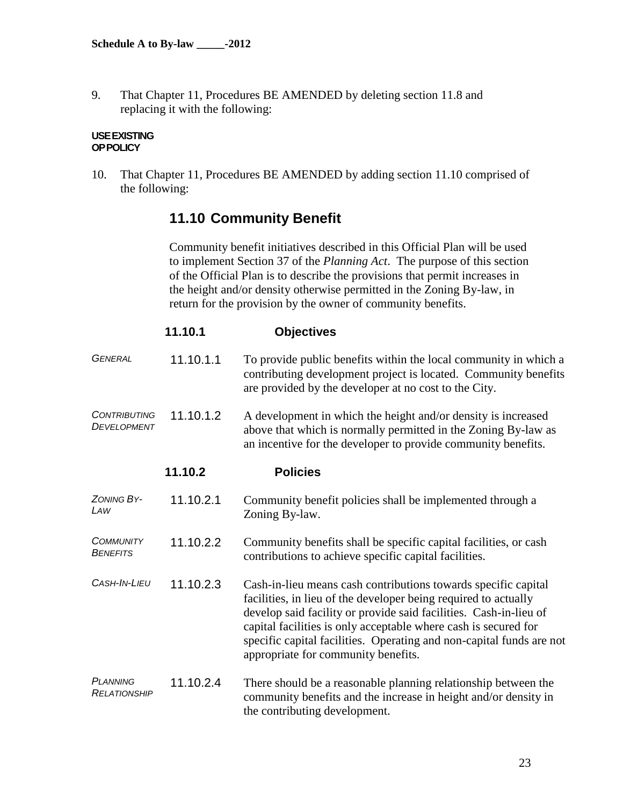9. That Chapter 11, Procedures BE AMENDED by deleting section 11.8 and replacing it with the following:

#### **USEEXISTING OPPOLICY**

10. That Chapter 11, Procedures BE AMENDED by adding section 11.10 comprised of the following:

# **11.10 Community Benefit**

Community benefit initiatives described in this Official Plan will be used to implement Section 37 of the *Planning Act*. The purpose of this section of the Official Plan is to describe the provisions that permit increases in the height and/or density otherwise permitted in the Zoning By-law, in return for the provision by the owner of community benefits.

|                                     | 11.10.1   | <b>Objectives</b>                                                                                                                                                                                                                                                                                                                                                                        |
|-------------------------------------|-----------|------------------------------------------------------------------------------------------------------------------------------------------------------------------------------------------------------------------------------------------------------------------------------------------------------------------------------------------------------------------------------------------|
| <b>GENERAL</b>                      | 11.10.1.1 | To provide public benefits within the local community in which a<br>contributing development project is located. Community benefits<br>are provided by the developer at no cost to the City.                                                                                                                                                                                             |
| <b>CONTRIBUTING</b><br>DEVELOPMENT  | 11.10.1.2 | A development in which the height and/or density is increased<br>above that which is normally permitted in the Zoning By-law as<br>an incentive for the developer to provide community benefits.                                                                                                                                                                                         |
|                                     | 11.10.2   | <b>Policies</b>                                                                                                                                                                                                                                                                                                                                                                          |
| ZONING BY-<br>LAW                   | 11.10.2.1 | Community benefit policies shall be implemented through a<br>Zoning By-law.                                                                                                                                                                                                                                                                                                              |
| <b>COMMUNITY</b><br><b>BENEFITS</b> | 11.10.2.2 | Community benefits shall be specific capital facilities, or cash<br>contributions to achieve specific capital facilities.                                                                                                                                                                                                                                                                |
| CASH-IN-LIEU                        | 11.10.2.3 | Cash-in-lieu means cash contributions towards specific capital<br>facilities, in lieu of the developer being required to actually<br>develop said facility or provide said facilities. Cash-in-lieu of<br>capital facilities is only acceptable where cash is secured for<br>specific capital facilities. Operating and non-capital funds are not<br>appropriate for community benefits. |
| <b>PLANNING</b><br>RELATIONSHIP     | 11.10.2.4 | There should be a reasonable planning relationship between the<br>community benefits and the increase in height and/or density in<br>the contributing development.                                                                                                                                                                                                                       |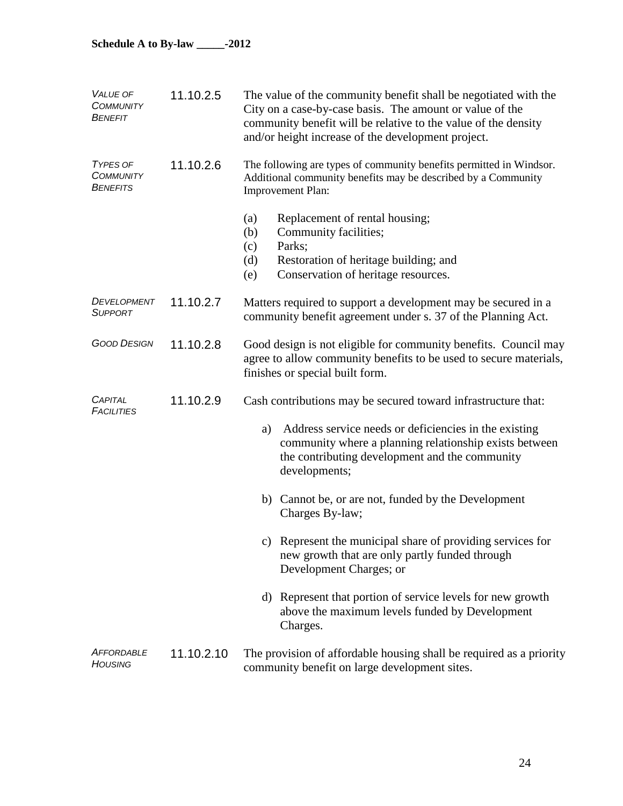| <b>VALUE OF</b><br><b>COMMUNITY</b><br>BENEFIT         | 11.10.2.5  | The value of the community benefit shall be negotiated with the<br>City on a case-by-case basis. The amount or value of the<br>community benefit will be relative to the value of the density<br>and/or height increase of the development project. |
|--------------------------------------------------------|------------|-----------------------------------------------------------------------------------------------------------------------------------------------------------------------------------------------------------------------------------------------------|
| <b>TYPES OF</b><br><b>COMMUNITY</b><br><b>BENEFITS</b> | 11.10.2.6  | The following are types of community benefits permitted in Windsor.<br>Additional community benefits may be described by a Community<br><b>Improvement Plan:</b>                                                                                    |
|                                                        |            | Replacement of rental housing;<br>(a)<br>Community facilities;<br>(b)<br>Parks;<br>(c)<br>Restoration of heritage building; and<br>(d)<br>Conservation of heritage resources.<br>(e)                                                                |
| DEVELOPMENT<br><b>SUPPORT</b>                          | 11.10.2.7  | Matters required to support a development may be secured in a<br>community benefit agreement under s. 37 of the Planning Act.                                                                                                                       |
| <b>GOOD DESIGN</b>                                     | 11.10.2.8  | Good design is not eligible for community benefits. Council may<br>agree to allow community benefits to be used to secure materials,<br>finishes or special built form.                                                                             |
| <b>CAPITAL</b><br><b>FACILITIES</b>                    | 11.10.2.9  | Cash contributions may be secured toward infrastructure that:                                                                                                                                                                                       |
|                                                        |            | Address service needs or deficiencies in the existing<br>a)<br>community where a planning relationship exists between<br>the contributing development and the community<br>developments;                                                            |
|                                                        |            | b) Cannot be, or are not, funded by the Development<br>Charges By-law;                                                                                                                                                                              |
|                                                        |            | c) Represent the municipal share of providing services for<br>new growth that are only partly funded through<br>Development Charges; or                                                                                                             |
|                                                        |            | d) Represent that portion of service levels for new growth<br>above the maximum levels funded by Development<br>Charges.                                                                                                                            |
| AFFORDABLE<br>Housing                                  | 11.10.2.10 | The provision of affordable housing shall be required as a priority<br>community benefit on large development sites.                                                                                                                                |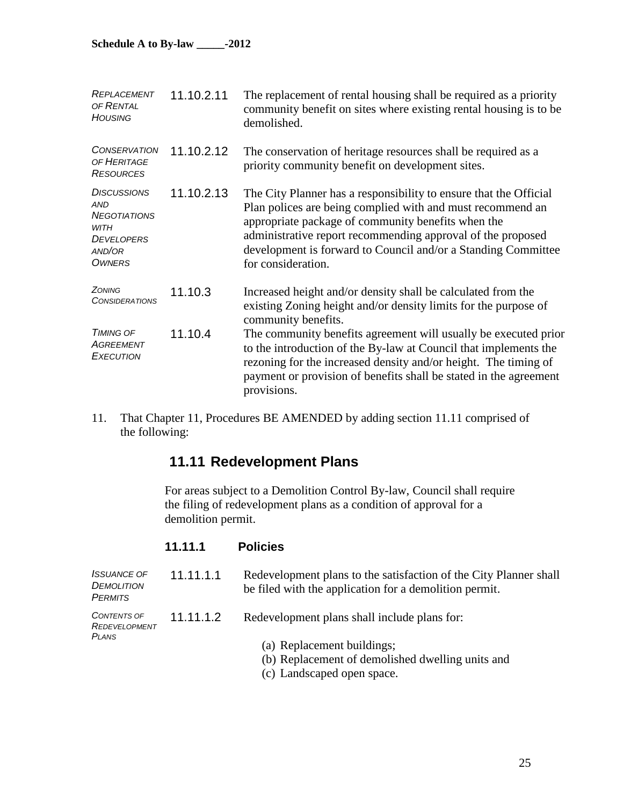| REPLACEMENT<br>OF RENTAL<br><b>HOUSING</b>                                                                             | 11.10.2.11 | The replacement of rental housing shall be required as a priority<br>community benefit on sites where existing rental housing is to be<br>demolished.                                                                                                                                                                                       |
|------------------------------------------------------------------------------------------------------------------------|------------|---------------------------------------------------------------------------------------------------------------------------------------------------------------------------------------------------------------------------------------------------------------------------------------------------------------------------------------------|
| <b>CONSERVATION</b><br>OF HERITAGE<br><b>RESOURCES</b>                                                                 | 11.10.2.12 | The conservation of heritage resources shall be required as a<br>priority community benefit on development sites.                                                                                                                                                                                                                           |
| <b>DISCUSSIONS</b><br><b>AND</b><br><b>NEGOTIATIONS</b><br><b>WITH</b><br><b>DEVELOPERS</b><br>AND/OR<br><b>OWNERS</b> | 11.10.2.13 | The City Planner has a responsibility to ensure that the Official<br>Plan polices are being complied with and must recommend an<br>appropriate package of community benefits when the<br>administrative report recommending approval of the proposed<br>development is forward to Council and/or a Standing Committee<br>for consideration. |
| ZONING<br><b>CONSIDERATIONS</b>                                                                                        | 11.10.3    | Increased height and/or density shall be calculated from the<br>existing Zoning height and/or density limits for the purpose of<br>community benefits.                                                                                                                                                                                      |
| <b>TIMING OF</b><br>AGREEMENT<br><b>EXECUTION</b>                                                                      | 11.10.4    | The community benefits agreement will usually be executed prior<br>to the introduction of the By-law at Council that implements the<br>rezoning for the increased density and/or height. The timing of<br>payment or provision of benefits shall be stated in the agreement<br>provisions.                                                  |

11. That Chapter 11, Procedures BE AMENDED by adding section 11.11 comprised of the following:

# **11.11 Redevelopment Plans**

For areas subject to a Demolition Control By-law, Council shall require the filing of redevelopment plans as a condition of approval for a demolition permit.

## **11.11.1 Policies**

| <b>ISSUANCE OF</b><br>DEMOLITION<br><b>PERMITS</b> | 11.11.1.1 | Redevelopment plans to the satisfaction of the City Planner shall<br>be filed with the application for a demolition permit. |
|----------------------------------------------------|-----------|-----------------------------------------------------------------------------------------------------------------------------|
| <b>CONTENTS OF</b><br>REDEVELOPMENT<br>PLANS       | 11.11.1.2 | Redevelopment plans shall include plans for:                                                                                |
|                                                    |           | (a) Replacement buildings;<br>(b) Replacement of demolished dwelling units and                                              |
|                                                    |           | (c) Landscaped open space.                                                                                                  |